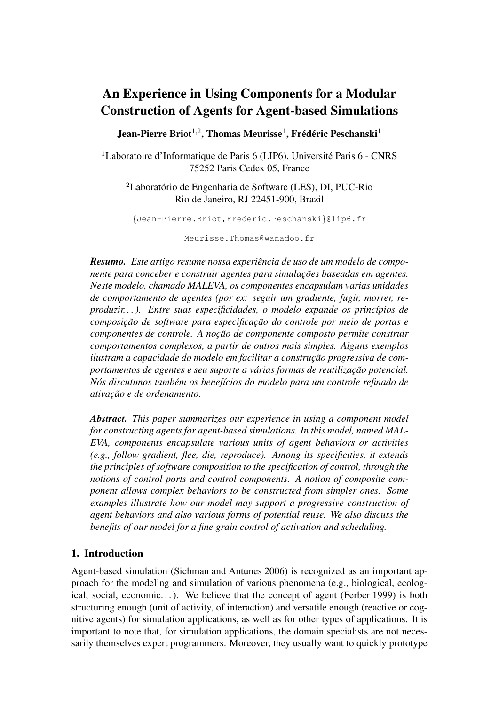# An Experience in Using Components for a Modular Construction of Agents for Agent-based Simulations

Jean-Pierre Briot<sup>1,2</sup>, Thomas Meurisse<sup>1</sup>, Frédéric Peschanski<sup>1</sup>

 $1$ Laboratoire d'Informatique de Paris 6 (LIP6), Université Paris 6 - CNRS 75252 Paris Cedex 05, France

 ${}^{2}$ Laboratório de Engenharia de Software (LES), DI, PUC-Rio Rio de Janeiro, RJ 22451-900, Brazil

{Jean-Pierre.Briot,Frederic.Peschanski}@lip6.fr

Meurisse.Thomas@wanadoo.fr

*Resumo. Este artigo resume nossa experiencia de uso de um modelo de compo- ˆ nente para conceber e construir agentes para simulações baseadas em agentes. Neste modelo, chamado MALEVA, os componentes encapsulam varias unidades de comportamento de agentes (por ex: seguir um gradiente, fugir, morrer, reproduzir...*). Entre suas especificidades, o modelo expande os princípios de *composic¸ao de software para especificac¸ ˜ ao do controle por meio de portas e ˜ componentes de controle. A noção de componente composto permite construir comportamentos complexos, a partir de outros mais simples. Alguns exemplos ilustram a capacidade do modelo em facilitar a construção progressiva de comportamentos de agentes e seu suporte a várias formas de reutilização potencial. Nos discutimos tamb ´ em os benef ´ ´ıcios do modelo para um controle refinado de ativac¸ao e de ordenamento. ˜*

*Abstract. This paper summarizes our experience in using a component model for constructing agents for agent-based simulations. In this model, named MAL-EVA, components encapsulate various units of agent behaviors or activities (e.g., follow gradient, flee, die, reproduce). Among its specificities, it extends the principles of software composition to the specification of control, through the notions of control ports and control components. A notion of composite component allows complex behaviors to be constructed from simpler ones. Some examples illustrate how our model may support a progressive construction of agent behaviors and also various forms of potential reuse. We also discuss the benefits of our model for a fine grain control of activation and scheduling.*

## 1. Introduction

Agent-based simulation (Sichman and Antunes 2006) is recognized as an important approach for the modeling and simulation of various phenomena (e.g., biological, ecological, social, economic...). We believe that the concept of agent (Ferber 1999) is both structuring enough (unit of activity, of interaction) and versatile enough (reactive or cognitive agents) for simulation applications, as well as for other types of applications. It is important to note that, for simulation applications, the domain specialists are not necessarily themselves expert programmers. Moreover, they usually want to quickly prototype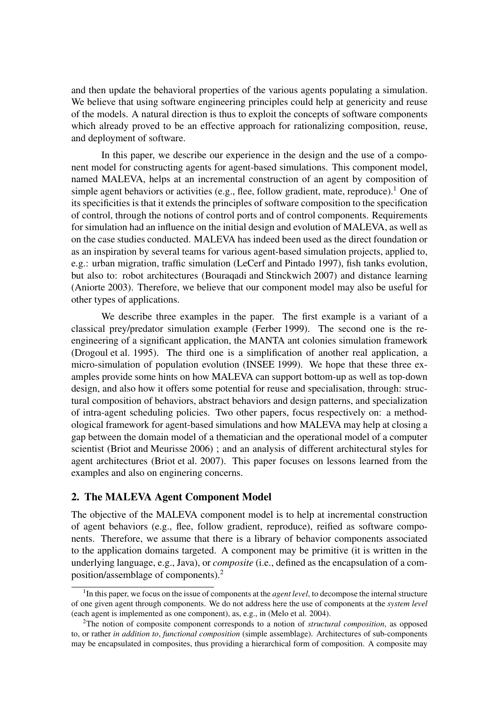and then update the behavioral properties of the various agents populating a simulation. We believe that using software engineering principles could help at genericity and reuse of the models. A natural direction is thus to exploit the concepts of software components which already proved to be an effective approach for rationalizing composition, reuse, and deployment of software.

In this paper, we describe our experience in the design and the use of a component model for constructing agents for agent-based simulations. This component model, named MALEVA, helps at an incremental construction of an agent by composition of simple agent behaviors or activities (e.g., flee, follow gradient, mate, reproduce).<sup>1</sup> One of its specificities is that it extends the principles of software composition to the specification of control, through the notions of control ports and of control components. Requirements for simulation had an influence on the initial design and evolution of MALEVA, as well as on the case studies conducted. MALEVA has indeed been used as the direct foundation or as an inspiration by several teams for various agent-based simulation projects, applied to, e.g.: urban migration, traffic simulation (LeCerf and Pintado 1997), fish tanks evolution, but also to: robot architectures (Bouraqadi and Stinckwich 2007) and distance learning (Aniorte 2003). Therefore, we believe that our component model may also be useful for other types of applications.

We describe three examples in the paper. The first example is a variant of a classical prey/predator simulation example (Ferber 1999). The second one is the reengineering of a significant application, the MANTA ant colonies simulation framework (Drogoul et al. 1995). The third one is a simplification of another real application, a micro-simulation of population evolution (INSEE 1999). We hope that these three examples provide some hints on how MALEVA can support bottom-up as well as top-down design, and also how it offers some potential for reuse and specialisation, through: structural composition of behaviors, abstract behaviors and design patterns, and specialization of intra-agent scheduling policies. Two other papers, focus respectively on: a methodological framework for agent-based simulations and how MALEVA may help at closing a gap between the domain model of a thematician and the operational model of a computer scientist (Briot and Meurisse 2006) ; and an analysis of different architectural styles for agent architectures (Briot et al. 2007). This paper focuses on lessons learned from the examples and also on enginering concerns.

#### 2. The MALEVA Agent Component Model

The objective of the MALEVA component model is to help at incremental construction of agent behaviors (e.g., flee, follow gradient, reproduce), reified as software components. Therefore, we assume that there is a library of behavior components associated to the application domains targeted. A component may be primitive (it is written in the underlying language, e.g., Java), or *composite* (i.e., defined as the encapsulation of a composition/assemblage of components).<sup>2</sup>

<sup>&</sup>lt;sup>1</sup>In this paper, we focus on the issue of components at the *agent level*, to decompose the internal structure of one given agent through components. We do not address here the use of components at the *system level* (each agent is implemented as one component), as, e.g., in (Melo et al. 2004).

<sup>2</sup>The notion of composite component corresponds to a notion of *structural composition*, as opposed to, or rather *in addition to*, *functional composition* (simple assemblage). Architectures of sub-components may be encapsulated in composites, thus providing a hierarchical form of composition. A composite may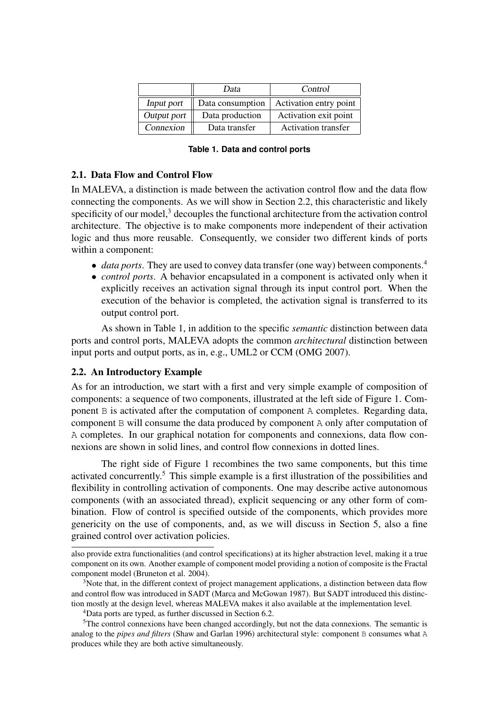|             | Data             | Control                    |  |  |
|-------------|------------------|----------------------------|--|--|
| Input port  | Data consumption | Activation entry point     |  |  |
| Output port | Data production  | Activation exit point      |  |  |
| Connexion   | Data transfer    | <b>Activation transfer</b> |  |  |

| Table 1. Data and control ports |  |  |  |  |  |
|---------------------------------|--|--|--|--|--|
|---------------------------------|--|--|--|--|--|

#### 2.1. Data Flow and Control Flow

In MALEVA, a distinction is made between the activation control flow and the data flow connecting the components. As we will show in Section 2.2, this characteristic and likely specificity of our model, $3$  decouples the functional architecture from the activation control architecture. The objective is to make components more independent of their activation logic and thus more reusable. Consequently, we consider two different kinds of ports within a component:

- *data ports*. They are used to convey data transfer (one way) between components.<sup>4</sup>
- *control ports*. A behavior encapsulated in a component is activated only when it explicitly receives an activation signal through its input control port. When the execution of the behavior is completed, the activation signal is transferred to its output control port.

As shown in Table 1, in addition to the specific *semantic* distinction between data ports and control ports, MALEVA adopts the common *architectural* distinction between input ports and output ports, as in, e.g., UML2 or CCM (OMG 2007).

#### 2.2. An Introductory Example

As for an introduction, we start with a first and very simple example of composition of components: a sequence of two components, illustrated at the left side of Figure 1. Component B is activated after the computation of component A completes. Regarding data, component B will consume the data produced by component A only after computation of A completes. In our graphical notation for components and connexions, data flow connexions are shown in solid lines, and control flow connexions in dotted lines.

The right side of Figure 1 recombines the two same components, but this time activated concurrently.<sup>5</sup> This simple example is a first illustration of the possibilities and flexibility in controlling activation of components. One may describe active autonomous components (with an associated thread), explicit sequencing or any other form of combination. Flow of control is specified outside of the components, which provides more genericity on the use of components, and, as we will discuss in Section 5, also a fine grained control over activation policies.

also provide extra functionalities (and control specifications) at its higher abstraction level, making it a true component on its own. Another example of component model providing a notion of composite is the Fractal component model (Bruneton et al. 2004).

 $3$ Note that, in the different context of project management applications, a distinction between data flow and control flow was introduced in SADT (Marca and McGowan 1987). But SADT introduced this distinction mostly at the design level, whereas MALEVA makes it also available at the implementation level.

<sup>4</sup>Data ports are typed, as further discussed in Section 6.2.

 $5$ The control connexions have been changed accordingly, but not the data connexions. The semantic is analog to the *pipes and filters* (Shaw and Garlan 1996) architectural style: component B consumes what A produces while they are both active simultaneously.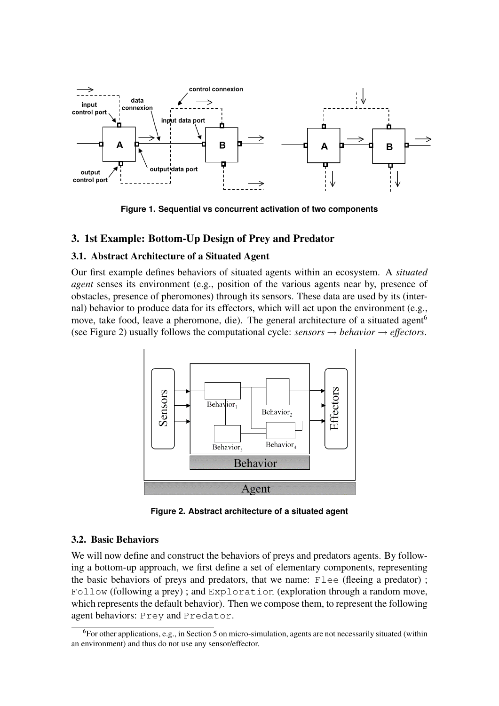

**Figure 1. Sequential vs concurrent activation of two components**

# 3. 1st Example: Bottom-Up Design of Prey and Predator

#### 3.1. Abstract Architecture of a Situated Agent

Our first example defines behaviors of situated agents within an ecosystem. A *situated agent* senses its environment (e.g., position of the various agents near by, presence of obstacles, presence of pheromones) through its sensors. These data are used by its (internal) behavior to produce data for its effectors, which will act upon the environment (e.g., move, take food, leave a pheromone, die). The general architecture of a situated agent<sup>6</sup> (see Figure 2) usually follows the computational cycle:  $sensors \rightarrow behavior \rightarrow effectors$ .



**Figure 2. Abstract architecture of a situated agent**

#### 3.2. Basic Behaviors

We will now define and construct the behaviors of preys and predators agents. By following a bottom-up approach, we first define a set of elementary components, representing the basic behaviors of preys and predators, that we name: Flee (fleeing a predator) ; Follow (following a prey) ; and Exploration (exploration through a random move, which represents the default behavior). Then we compose them, to represent the following agent behaviors: Prey and Predator.

 $6$ For other applications, e.g., in Section 5 on micro-simulation, agents are not necessarily situated (within an environment) and thus do not use any sensor/effector.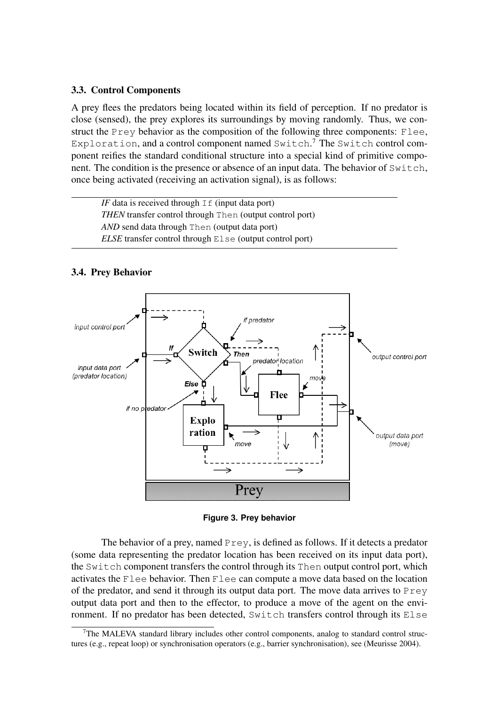#### 3.3. Control Components

A prey flees the predators being located within its field of perception. If no predator is close (sensed), the prey explores its surroundings by moving randomly. Thus, we construct the Prey behavior as the composition of the following three components: Flee, Exploration, and a control component named Switch.<sup>7</sup> The Switch control component reifies the standard conditional structure into a special kind of primitive component. The condition is the presence or absence of an input data. The behavior of Switch, once being activated (receiving an activation signal), is as follows:

*IF* data is received through  $I \text{f}$  (input data port) *THEN* transfer control through Then (output control port) *AND* send data through Then (output data port) *ELSE* transfer control through Else (output control port)



#### 3.4. Prey Behavior

**Figure 3. Prey behavior**

The behavior of a prey, named  $Prey$ , is defined as follows. If it detects a predator (some data representing the predator location has been received on its input data port), the Switch component transfers the control through its Then output control port, which activates the Flee behavior. Then Flee can compute a move data based on the location of the predator, and send it through its output data port. The move data arrives to  $Prey$ output data port and then to the effector, to produce a move of the agent on the environment. If no predator has been detected, Switch transfers control through its Else

<sup>7</sup>The MALEVA standard library includes other control components, analog to standard control structures (e.g., repeat loop) or synchronisation operators (e.g., barrier synchronisation), see (Meurisse 2004).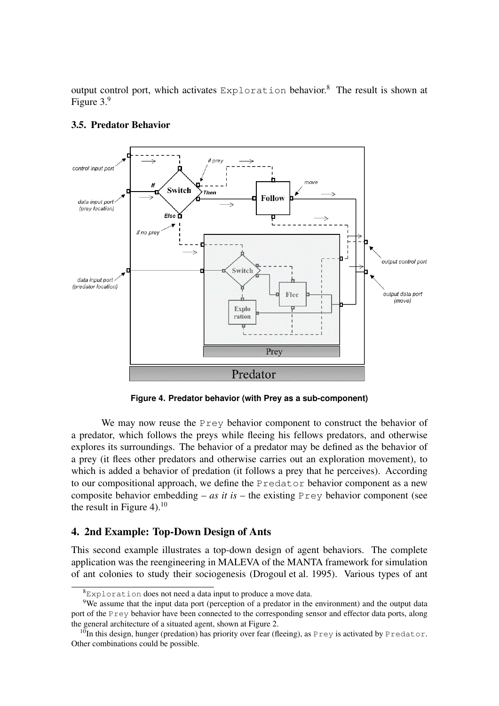output control port, which activates Exploration behavior.<sup>8</sup> The result is shown at Figure 3.<sup>9</sup>



## 3.5. Predator Behavior

**Figure 4. Predator behavior (with Prey as a sub-component)**

We may now reuse the Prey behavior component to construct the behavior of a predator, which follows the preys while fleeing his fellows predators, and otherwise explores its surroundings. The behavior of a predator may be defined as the behavior of a prey (it flees other predators and otherwise carries out an exploration movement), to which is added a behavior of predation (it follows a prey that he perceives). According to our compositional approach, we define the Predator behavior component as a new composite behavior embedding – *as it is* – the existing  $Prey$  behavior component (see the result in Figure 4). $^{10}$ 

# 4. 2nd Example: Top-Down Design of Ants

This second example illustrates a top-down design of agent behaviors. The complete application was the reengineering in MALEVA of the MANTA framework for simulation of ant colonies to study their sociogenesis (Drogoul et al. 1995). Various types of ant

 ${}^{8}$ Exploration does not need a data input to produce a move data.

<sup>&</sup>lt;sup>9</sup>We assume that the input data port (perception of a predator in the environment) and the output data port of the Prey behavior have been connected to the corresponding sensor and effector data ports, along the general architecture of a situated agent, shown at Figure 2.

<sup>&</sup>lt;sup>10</sup>In this design, hunger (predation) has priority over fear (fleeing), as Prey is activated by Predator. Other combinations could be possible.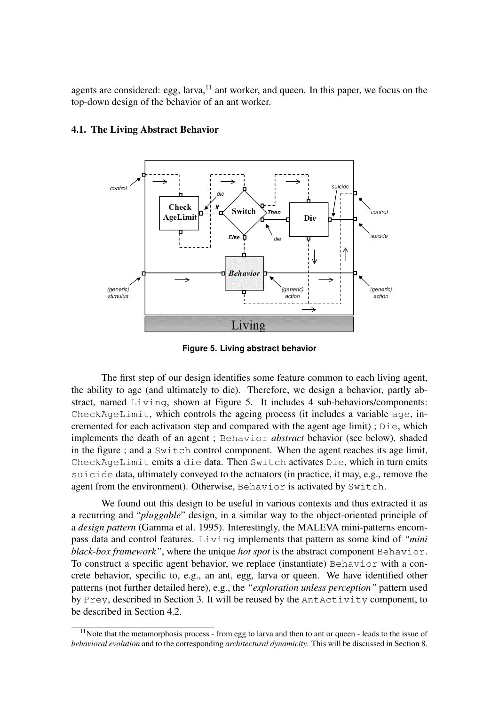agents are considered: egg,  $larva<sub>11</sub>$  ant worker, and queen. In this paper, we focus on the top-down design of the behavior of an ant worker.



## 4.1. The Living Abstract Behavior

**Figure 5. Living abstract behavior**

The first step of our design identifies some feature common to each living agent, the ability to age (and ultimately to die). Therefore, we design a behavior, partly abstract, named Living, shown at Figure 5. It includes 4 sub-behaviors/components: CheckAgeLimit, which controls the ageing process (it includes a variable age, incremented for each activation step and compared with the agent age limit) ; Die, which implements the death of an agent ; Behavior *abstract* behavior (see below), shaded in the figure ; and a Switch control component. When the agent reaches its age limit, CheckAgeLimit emits a die data. Then Switch activates Die, which in turn emits suicide data, ultimately conveyed to the actuators (in practice, it may, e.g., remove the agent from the environment). Otherwise, Behavior is activated by Switch.

We found out this design to be useful in various contexts and thus extracted it as a recurring and "*pluggable*" design, in a similar way to the object-oriented principle of a *design pattern* (Gamma et al. 1995). Interestingly, the MALEVA mini-patterns encompass data and control features. Living implements that pattern as some kind of *"mini black-box framework"*, where the unique *hot spot* is the abstract component Behavior. To construct a specific agent behavior, we replace (instantiate) Behavior with a concrete behavior, specific to, e.g., an ant, egg, larva or queen. We have identified other patterns (not further detailed here), e.g., the *"exploration unless perception"* pattern used by Prey, described in Section 3. It will be reused by the AntActivity component, to be described in Section 4.2.

 $11$ Note that the metamorphosis process - from egg to larva and then to ant or queen - leads to the issue of *behavioral evolution* and to the corresponding *architectural dynamicity*. This will be discussed in Section 8.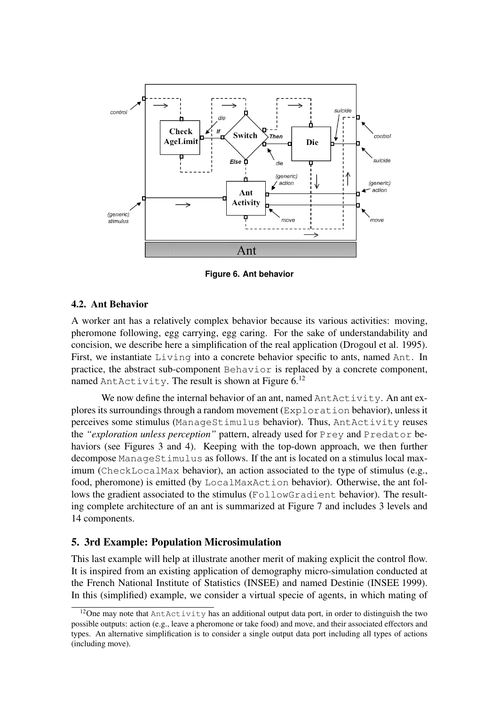

**Figure 6. Ant behavior**

## 4.2. Ant Behavior

A worker ant has a relatively complex behavior because its various activities: moving, pheromone following, egg carrying, egg caring. For the sake of understandability and concision, we describe here a simplification of the real application (Drogoul et al. 1995). First, we instantiate Living into a concrete behavior specific to ants, named Ant. In practice, the abstract sub-component Behavior is replaced by a concrete component, named Ant $Activity$ . The result is shown at Figure 6.<sup>12</sup>

We now define the internal behavior of an ant, named AntActivity. An ant explores its surroundings through a random movement (Exploration behavior), unless it perceives some stimulus (ManageStimulus behavior). Thus, AntActivity reuses the *"exploration unless perception"* pattern, already used for Prey and Predator behaviors (see Figures 3 and 4). Keeping with the top-down approach, we then further decompose ManageStimulus as follows. If the ant is located on a stimulus local maximum (CheckLocalMax behavior), an action associated to the type of stimulus (e.g., food, pheromone) is emitted (by LocalMaxAction behavior). Otherwise, the ant follows the gradient associated to the stimulus (FollowGradient behavior). The resulting complete architecture of an ant is summarized at Figure 7 and includes 3 levels and 14 components.

## 5. 3rd Example: Population Microsimulation

This last example will help at illustrate another merit of making explicit the control flow. It is inspired from an existing application of demography micro-simulation conducted at the French National Institute of Statistics (INSEE) and named Destinie (INSEE 1999). In this (simplified) example, we consider a virtual specie of agents, in which mating of

<sup>&</sup>lt;sup>12</sup>One may note that  $AntActivity$  has an additional output data port, in order to distinguish the two possible outputs: action (e.g., leave a pheromone or take food) and move, and their associated effectors and types. An alternative simplification is to consider a single output data port including all types of actions (including move).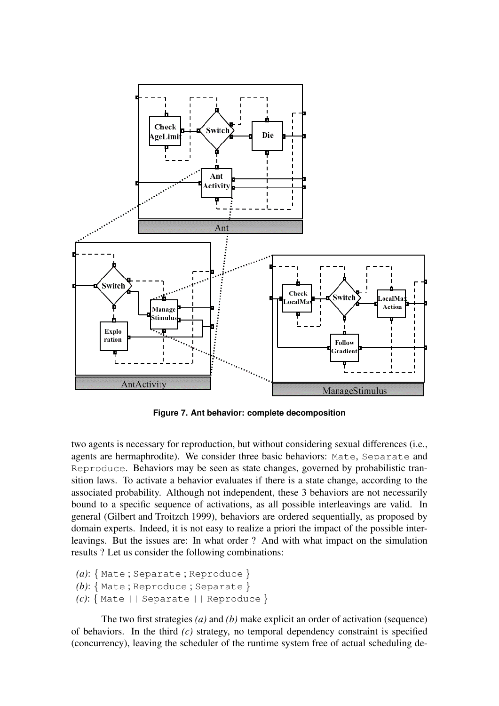

**Figure 7. Ant behavior: complete decomposition**

two agents is necessary for reproduction, but without considering sexual differences (i.e., agents are hermaphrodite). We consider three basic behaviors: Mate, Separate and Reproduce. Behaviors may be seen as state changes, governed by probabilistic transition laws. To activate a behavior evaluates if there is a state change, according to the associated probability. Although not independent, these 3 behaviors are not necessarily bound to a specific sequence of activations, as all possible interleavings are valid. In general (Gilbert and Troitzch 1999), behaviors are ordered sequentially, as proposed by domain experts. Indeed, it is not easy to realize a priori the impact of the possible interleavings. But the issues are: In what order ? And with what impact on the simulation results ? Let us consider the following combinations:

```
(a): { Mate ; Separate ; Reproduce }
```

```
(b): { Mate ; Reproduce ; Separate }
```

```
(c): { Mate || Separate || Reproduce }
```
The two first strategies *(a)* and *(b)* make explicit an order of activation (sequence) of behaviors. In the third *(c)* strategy, no temporal dependency constraint is specified (concurrency), leaving the scheduler of the runtime system free of actual scheduling de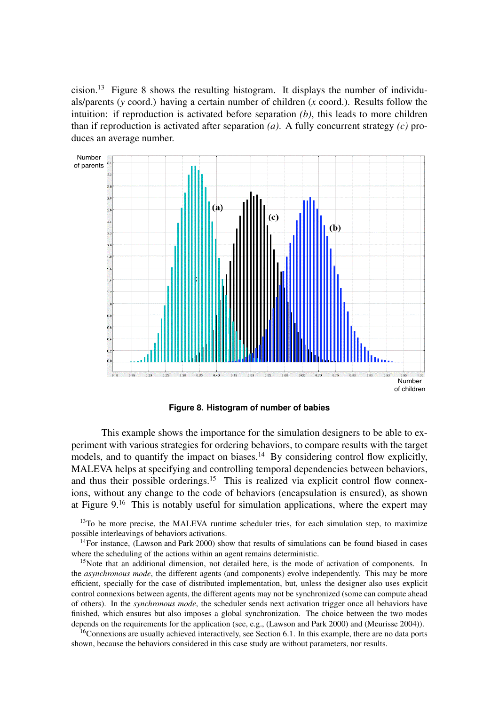cision.<sup>13</sup> Figure 8 shows the resulting histogram. It displays the number of individuals/parents (*y* coord.) having a certain number of children (*x* coord.). Results follow the intuition: if reproduction is activated before separation *(b)*, this leads to more children than if reproduction is activated after separation *(a)*. A fully concurrent strategy *(c)* produces an average number.



**Figure 8. Histogram of number of babies**

This example shows the importance for the simulation designers to be able to experiment with various strategies for ordering behaviors, to compare results with the target models, and to quantify the impact on biases.<sup>14</sup> By considering control flow explicitly, MALEVA helps at specifying and controlling temporal dependencies between behaviors, and thus their possible orderings.<sup>15</sup> This is realized via explicit control flow connexions, without any change to the code of behaviors (encapsulation is ensured), as shown at Figure  $9<sup>16</sup>$ . This is notably useful for simulation applications, where the expert may

<sup>&</sup>lt;sup>13</sup>To be more precise, the MALEVA runtime scheduler tries, for each simulation step, to maximize possible interleavings of behaviors activations.

 $14$ For instance, (Lawson and Park 2000) show that results of simulations can be found biased in cases where the scheduling of the actions within an agent remains deterministic.

<sup>&</sup>lt;sup>15</sup>Note that an additional dimension, not detailed here, is the mode of activation of components. In the *asynchronous mode*, the different agents (and components) evolve independently. This may be more efficient, specially for the case of distributed implementation, but, unless the designer also uses explicit control connexions between agents, the different agents may not be synchronized (some can compute ahead of others). In the *synchronous mode*, the scheduler sends next activation trigger once all behaviors have finished, which ensures but also imposes a global synchronization. The choice between the two modes depends on the requirements for the application (see, e.g., (Lawson and Park 2000) and (Meurisse 2004)).

 $16$ Connexions are usually achieved interactively, see Section 6.1. In this example, there are no data ports shown, because the behaviors considered in this case study are without parameters, nor results.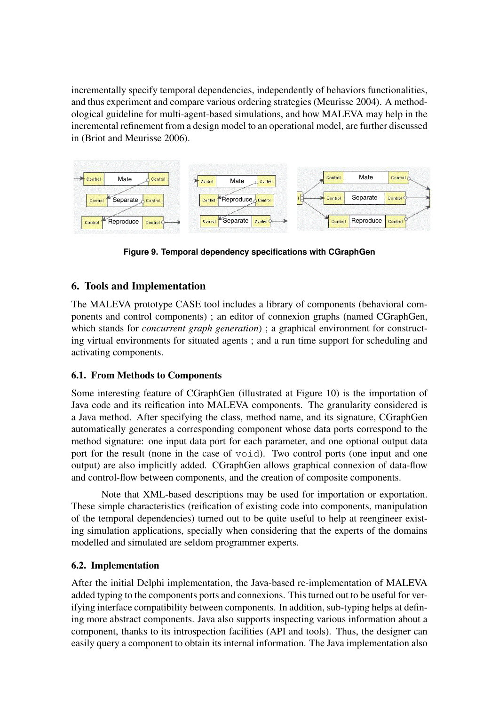incrementally specify temporal dependencies, independently of behaviors functionalities, and thus experiment and compare various ordering strategies (Meurisse 2004). A methodological guideline for multi-agent-based simulations, and how MALEVA may help in the incremental refinement from a design model to an operational model, are further discussed in (Briot and Meurisse 2006).



**Figure 9. Temporal dependency specifications with CGraphGen**

# 6. Tools and Implementation

The MALEVA prototype CASE tool includes a library of components (behavioral components and control components) ; an editor of connexion graphs (named CGraphGen, which stands for *concurrent graph generation*); a graphical environment for constructing virtual environments for situated agents ; and a run time support for scheduling and activating components.

# 6.1. From Methods to Components

Some interesting feature of CGraphGen (illustrated at Figure 10) is the importation of Java code and its reification into MALEVA components. The granularity considered is a Java method. After specifying the class, method name, and its signature, CGraphGen automatically generates a corresponding component whose data ports correspond to the method signature: one input data port for each parameter, and one optional output data port for the result (none in the case of void). Two control ports (one input and one output) are also implicitly added. CGraphGen allows graphical connexion of data-flow and control-flow between components, and the creation of composite components.

Note that XML-based descriptions may be used for importation or exportation. These simple characteristics (reification of existing code into components, manipulation of the temporal dependencies) turned out to be quite useful to help at reengineer existing simulation applications, specially when considering that the experts of the domains modelled and simulated are seldom programmer experts.

# 6.2. Implementation

After the initial Delphi implementation, the Java-based re-implementation of MALEVA added typing to the components ports and connexions. This turned out to be useful for verifying interface compatibility between components. In addition, sub-typing helps at defining more abstract components. Java also supports inspecting various information about a component, thanks to its introspection facilities (API and tools). Thus, the designer can easily query a component to obtain its internal information. The Java implementation also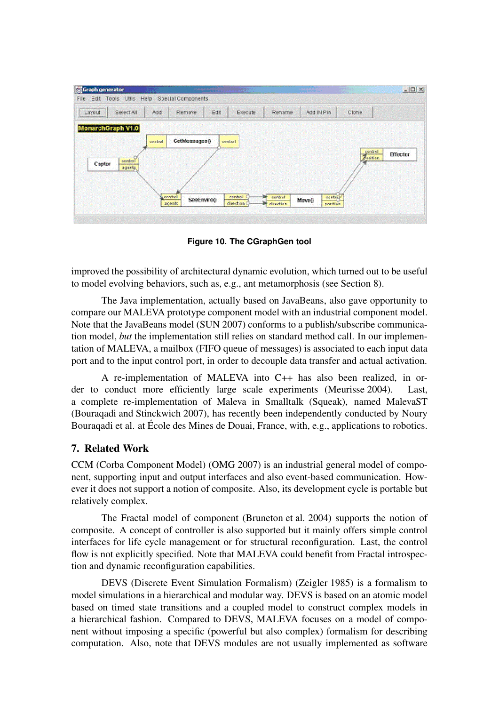| Graph generator                                  | <b>CONSIGNATION</b>      |                                  | $\sim$ and $\sim$ .  | <b>CONSIGNATION</b> | $  C  \times$ |
|--------------------------------------------------|--------------------------|----------------------------------|----------------------|---------------------|---------------|
| Edit Tools Utils Help Special Components<br>File |                          |                                  |                      |                     |               |
| Select All<br>Add<br>Layout                      | Edit<br>Remove           | Execute                          | Rename<br>Add IN Pin | Clone               |               |
|                                                  |                          |                                  |                      |                     |               |
| MonarchGraph V1.0                                |                          |                                  |                      |                     |               |
| control                                          | GetMessages()<br>control |                                  |                      |                     |               |
|                                                  |                          |                                  |                      | gentroll            | Effector      |
| control<br>Captor                                |                          |                                  |                      | <b>Beation</b>      |               |
| agents,                                          |                          |                                  |                      |                     |               |
|                                                  |                          |                                  |                      |                     |               |
|                                                  |                          |                                  |                      |                     |               |
| control                                          | SeeEnviro()              | control<br><b>Dr.</b><br>centrol | sonds p<br>Move()    |                     |               |
| agents                                           |                          | direction:<br>direction.         | position             |                     |               |
|                                                  |                          |                                  |                      |                     |               |

**Figure 10. The CGraphGen tool**

improved the possibility of architectural dynamic evolution, which turned out to be useful to model evolving behaviors, such as, e.g., ant metamorphosis (see Section 8).

The Java implementation, actually based on JavaBeans, also gave opportunity to compare our MALEVA prototype component model with an industrial component model. Note that the JavaBeans model (SUN 2007) conforms to a publish/subscribe communication model, *but* the implementation still relies on standard method call. In our implementation of MALEVA, a mailbox (FIFO queue of messages) is associated to each input data port and to the input control port, in order to decouple data transfer and actual activation.

A re-implementation of MALEVA into C++ has also been realized, in order to conduct more efficiently large scale experiments (Meurisse 2004). Last, a complete re-implementation of Maleva in Smalltalk (Squeak), named MalevaST (Bouraqadi and Stinckwich 2007), has recently been independently conducted by Noury Bouraqadi et al. at École des Mines de Douai, France, with, e.g., applications to robotics.

# 7. Related Work

CCM (Corba Component Model) (OMG 2007) is an industrial general model of component, supporting input and output interfaces and also event-based communication. However it does not support a notion of composite. Also, its development cycle is portable but relatively complex.

The Fractal model of component (Bruneton et al. 2004) supports the notion of composite. A concept of controller is also supported but it mainly offers simple control interfaces for life cycle management or for structural reconfiguration. Last, the control flow is not explicitly specified. Note that MALEVA could benefit from Fractal introspection and dynamic reconfiguration capabilities.

DEVS (Discrete Event Simulation Formalism) (Zeigler 1985) is a formalism to model simulations in a hierarchical and modular way. DEVS is based on an atomic model based on timed state transitions and a coupled model to construct complex models in a hierarchical fashion. Compared to DEVS, MALEVA focuses on a model of component without imposing a specific (powerful but also complex) formalism for describing computation. Also, note that DEVS modules are not usually implemented as software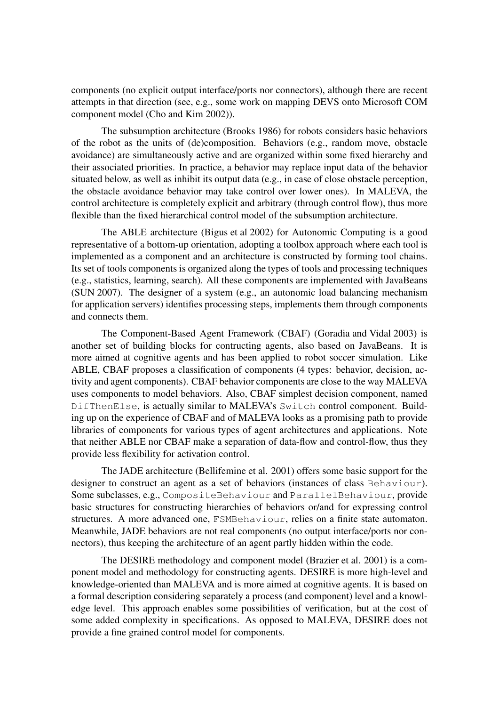components (no explicit output interface/ports nor connectors), although there are recent attempts in that direction (see, e.g., some work on mapping DEVS onto Microsoft COM component model (Cho and Kim 2002)).

The subsumption architecture (Brooks 1986) for robots considers basic behaviors of the robot as the units of (de)composition. Behaviors (e.g., random move, obstacle avoidance) are simultaneously active and are organized within some fixed hierarchy and their associated priorities. In practice, a behavior may replace input data of the behavior situated below, as well as inhibit its output data (e.g., in case of close obstacle perception, the obstacle avoidance behavior may take control over lower ones). In MALEVA, the control architecture is completely explicit and arbitrary (through control flow), thus more flexible than the fixed hierarchical control model of the subsumption architecture.

The ABLE architecture (Bigus et al 2002) for Autonomic Computing is a good representative of a bottom-up orientation, adopting a toolbox approach where each tool is implemented as a component and an architecture is constructed by forming tool chains. Its set of tools components is organized along the types of tools and processing techniques (e.g., statistics, learning, search). All these components are implemented with JavaBeans (SUN 2007). The designer of a system (e.g., an autonomic load balancing mechanism for application servers) identifies processing steps, implements them through components and connects them.

The Component-Based Agent Framework (CBAF) (Goradia and Vidal 2003) is another set of building blocks for contructing agents, also based on JavaBeans. It is more aimed at cognitive agents and has been applied to robot soccer simulation. Like ABLE, CBAF proposes a classification of components (4 types: behavior, decision, activity and agent components). CBAF behavior components are close to the way MALEVA uses components to model behaviors. Also, CBAF simplest decision component, named DifThenElse, is actually similar to MALEVA's Switch control component. Building up on the experience of CBAF and of MALEVA looks as a promising path to provide libraries of components for various types of agent architectures and applications. Note that neither ABLE nor CBAF make a separation of data-flow and control-flow, thus they provide less flexibility for activation control.

The JADE architecture (Bellifemine et al. 2001) offers some basic support for the designer to construct an agent as a set of behaviors (instances of class Behaviour). Some subclasses, e.g., CompositeBehaviour and ParallelBehaviour, provide basic structures for constructing hierarchies of behaviors or/and for expressing control structures. A more advanced one, FSMBehaviour, relies on a finite state automaton. Meanwhile, JADE behaviors are not real components (no output interface/ports nor connectors), thus keeping the architecture of an agent partly hidden within the code.

The DESIRE methodology and component model (Brazier et al. 2001) is a component model and methodology for constructing agents. DESIRE is more high-level and knowledge-oriented than MALEVA and is more aimed at cognitive agents. It is based on a formal description considering separately a process (and component) level and a knowledge level. This approach enables some possibilities of verification, but at the cost of some added complexity in specifications. As opposed to MALEVA, DESIRE does not provide a fine grained control model for components.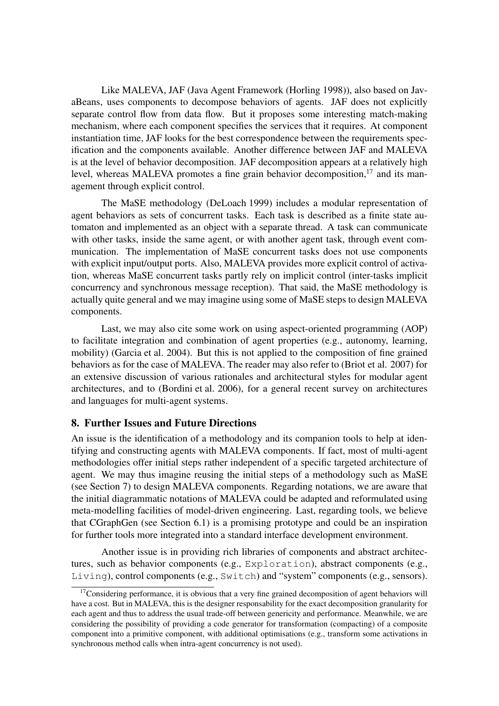Like MALEVA, JAF (Java Agent Framework (Horling 1998)), also based on JavaBeans, uses components to decompose behaviors of agents. JAF does not explicitly separate control flow from data flow. But it proposes some interesting match-making mechanism, where each component specifies the services that it requires. At component instantiation time, JAF looks for the best correspondence between the requirements specification and the components available. Another difference between JAF and MALEVA is at the level of behavior decomposition. JAF decomposition appears at a relatively high level, whereas MALEVA promotes a fine grain behavior decomposition, $17$  and its management through explicit control.

The MaSE methodology (DeLoach 1999) includes a modular representation of agent behaviors as sets of concurrent tasks. Each task is described as a finite state automaton and implemented as an object with a separate thread. A task can communicate with other tasks, inside the same agent, or with another agent task, through event communication. The implementation of MaSE concurrent tasks does not use components with explicit input/output ports. Also, MALEVA provides more explicit control of activation, whereas MaSE concurrent tasks partly rely on implicit control (inter-tasks implicit concurrency and synchronous message reception). That said, the MaSE methodology is actually quite general and we may imagine using some of MaSE steps to design MALEVA components.

Last, we may also cite some work on using aspect-oriented programming (AOP) to facilitate integration and combination of agent properties (e.g., autonomy, learning, mobility) (Garcia et al. 2004). But this is not applied to the composition of fine grained behaviors as for the case of MALEVA. The reader may also refer to (Briot et al. 2007) for an extensive discussion of various rationales and architectural styles for modular agent architectures, and to (Bordini et al. 2006), for a general recent survey on architectures and languages for multi-agent systems.

## 8. Further Issues and Future Directions

An issue is the identification of a methodology and its companion tools to help at identifying and constructing agents with MALEVA components. If fact, most of multi-agent methodologies offer initial steps rather independent of a specific targeted architecture of agent. We may thus imagine reusing the initial steps of a methodology such as MaSE (see Section 7) to design MALEVA components. Regarding notations, we are aware that the initial diagrammatic notations of MALEVA could be adapted and reformulated using meta-modelling facilities of model-driven engineering. Last, regarding tools, we believe that CGraphGen (see Section 6.1) is a promising prototype and could be an inspiration for further tools more integrated into a standard interface development environment.

Another issue is in providing rich libraries of components and abstract architectures, such as behavior components (e.g., Exploration), abstract components (e.g., Living), control components (e.g., Switch) and "system" components (e.g., sensors).

<sup>&</sup>lt;sup>17</sup>Considering performance, it is obvious that a very fine grained decomposition of agent behaviors will have a cost. But in MALEVA, this is the designer responsability for the exact decomposition granularity for each agent and thus to address the usual trade-off between genericity and performance. Meanwhile, we are considering the possibility of providing a code generator for transformation (compacting) of a composite component into a primitive component, with additional optimisations (e.g., transform some activations in synchronous method calls when intra-agent concurrency is not used).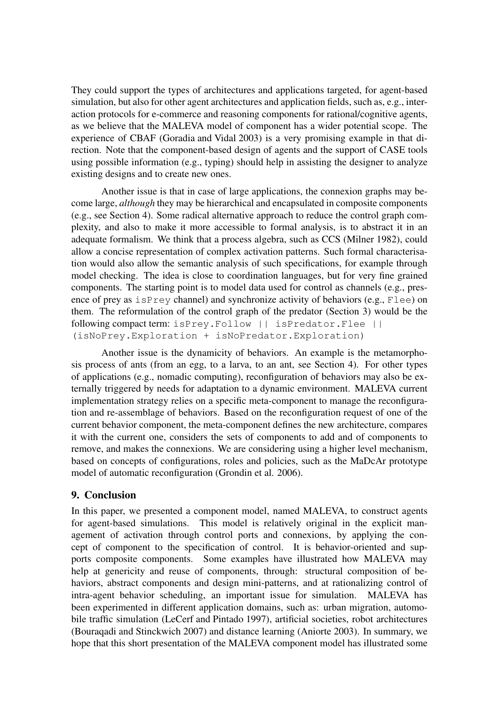They could support the types of architectures and applications targeted, for agent-based simulation, but also for other agent architectures and application fields, such as, e.g., interaction protocols for e-commerce and reasoning components for rational/cognitive agents, as we believe that the MALEVA model of component has a wider potential scope. The experience of CBAF (Goradia and Vidal 2003) is a very promising example in that direction. Note that the component-based design of agents and the support of CASE tools using possible information (e.g., typing) should help in assisting the designer to analyze existing designs and to create new ones.

Another issue is that in case of large applications, the connexion graphs may become large, *although* they may be hierarchical and encapsulated in composite components (e.g., see Section 4). Some radical alternative approach to reduce the control graph complexity, and also to make it more accessible to formal analysis, is to abstract it in an adequate formalism. We think that a process algebra, such as CCS (Milner 1982), could allow a concise representation of complex activation patterns. Such formal characterisation would also allow the semantic analysis of such specifications, for example through model checking. The idea is close to coordination languages, but for very fine grained components. The starting point is to model data used for control as channels (e.g., presence of prey as isPrey channel) and synchronize activity of behaviors (e.g., Flee) on them. The reformulation of the control graph of the predator (Section 3) would be the following compact term: isPrey.Follow || isPredator.Flee || (isNoPrey.Exploration + isNoPredator.Exploration)

Another issue is the dynamicity of behaviors. An example is the metamorphosis process of ants (from an egg, to a larva, to an ant, see Section 4). For other types of applications (e.g., nomadic computing), reconfiguration of behaviors may also be externally triggered by needs for adaptation to a dynamic environment. MALEVA current implementation strategy relies on a specific meta-component to manage the reconfiguration and re-assemblage of behaviors. Based on the reconfiguration request of one of the current behavior component, the meta-component defines the new architecture, compares it with the current one, considers the sets of components to add and of components to remove, and makes the connexions. We are considering using a higher level mechanism, based on concepts of configurations, roles and policies, such as the MaDcAr prototype model of automatic reconfiguration (Grondin et al. 2006).

#### 9. Conclusion

In this paper, we presented a component model, named MALEVA, to construct agents for agent-based simulations. This model is relatively original in the explicit management of activation through control ports and connexions, by applying the concept of component to the specification of control. It is behavior-oriented and supports composite components. Some examples have illustrated how MALEVA may help at genericity and reuse of components, through: structural composition of behaviors, abstract components and design mini-patterns, and at rationalizing control of intra-agent behavior scheduling, an important issue for simulation. MALEVA has been experimented in different application domains, such as: urban migration, automobile traffic simulation (LeCerf and Pintado 1997), artificial societies, robot architectures (Bouraqadi and Stinckwich 2007) and distance learning (Aniorte 2003). In summary, we hope that this short presentation of the MALEVA component model has illustrated some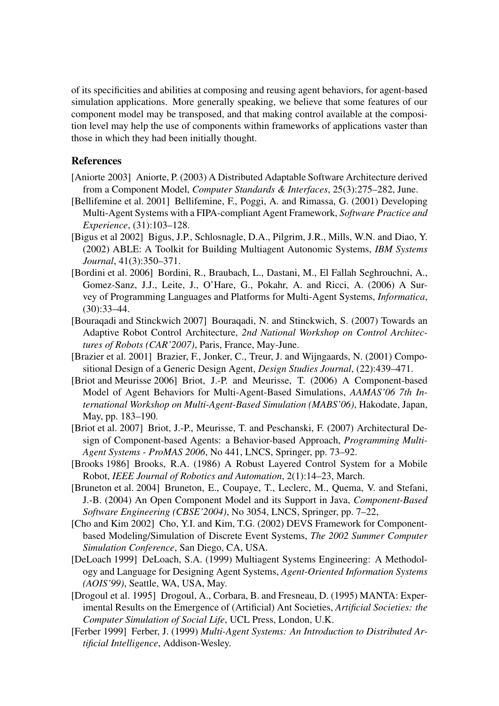of its specificities and abilities at composing and reusing agent behaviors, for agent-based simulation applications. More generally speaking, we believe that some features of our component model may be transposed, and that making control available at the composition level may help the use of components within frameworks of applications vaster than those in which they had been initially thought.

# References

- [Aniorte 2003] Aniorte, P. (2003) A Distributed Adaptable Software Architecture derived from a Component Model, *Computer Standards & Interfaces*, 25(3):275–282, June.
- [Bellifemine et al. 2001] Bellifemine, F., Poggi, A. and Rimassa, G. (2001) Developing Multi-Agent Systems with a FIPA-compliant Agent Framework, *Software Practice and Experience*, (31):103–128.
- [Bigus et al 2002] Bigus, J.P., Schlosnagle, D.A., Pilgrim, J.R., Mills, W.N. and Diao, Y. (2002) ABLE: A Toolkit for Building Multiagent Autonomic Systems, *IBM Systems Journal*, 41(3):350–371.
- [Bordini et al. 2006] Bordini, R., Braubach, L., Dastani, M., El Fallah Seghrouchni, A., Gomez-Sanz, J.J., Leite, J., O'Hare, G., Pokahr, A. and Ricci, A. (2006) A Survey of Programming Languages and Platforms for Multi-Agent Systems, *Informatica*, (30):33–44.
- [Bouraqadi and Stinckwich 2007] Bouraqadi, N. and Stinckwich, S. (2007) Towards an Adaptive Robot Control Architecture, *2nd National Workshop on Control Architectures of Robots (CAR'2007)*, Paris, France, May-June.
- [Brazier et al. 2001] Brazier, F., Jonker, C., Treur, J. and Wijngaards, N. (2001) Compositional Design of a Generic Design Agent, *Design Studies Journal*, (22):439–471.
- [Briot and Meurisse 2006] Briot, J.-P. and Meurisse, T. (2006) A Component-based Model of Agent Behaviors for Multi-Agent-Based Simulations, *AAMAS'06 7th International Workshop on Multi-Agent-Based Simulation (MABS'06)*, Hakodate, Japan, May, pp. 183–190.
- [Briot et al. 2007] Briot, J.-P., Meurisse, T. and Peschanski, F. (2007) Architectural Design of Component-based Agents: a Behavior-based Approach, *Programming Multi-Agent Systems - ProMAS 2006*, No 441, LNCS, Springer, pp. 73–92.
- [Brooks 1986] Brooks, R.A. (1986) A Robust Layered Control System for a Mobile Robot, *IEEE Journal of Robotics and Automation*, 2(1):14–23, March.
- [Bruneton et al. 2004] Bruneton, E., Coupaye, T., Leclerc, M., Quema, V. and Stefani, J.-B. (2004) An Open Component Model and its Support in Java, *Component-Based Software Engineering (CBSE'2004)*, No 3054, LNCS, Springer, pp. 7–22,
- [Cho and Kim 2002] Cho, Y.I. and Kim, T.G. (2002) DEVS Framework for Componentbased Modeling/Simulation of Discrete Event Systems, *The 2002 Summer Computer Simulation Conference*, San Diego, CA, USA.
- [DeLoach 1999] DeLoach, S.A. (1999) Multiagent Systems Engineering: A Methodology and Language for Designing Agent Systems, *Agent-Oriented Information Systems (AOIS'99)*, Seattle, WA, USA, May.
- [Drogoul et al. 1995] Drogoul, A., Corbara, B. and Fresneau, D. (1995) MANTA: Experimental Results on the Emergence of (Artificial) Ant Societies, *Artificial Societies: the Computer Simulation of Social Life*, UCL Press, London, U.K.
- [Ferber 1999] Ferber, J. (1999) *Multi-Agent Systems: An Introduction to Distributed Artificial Intelligence*, Addison-Wesley.